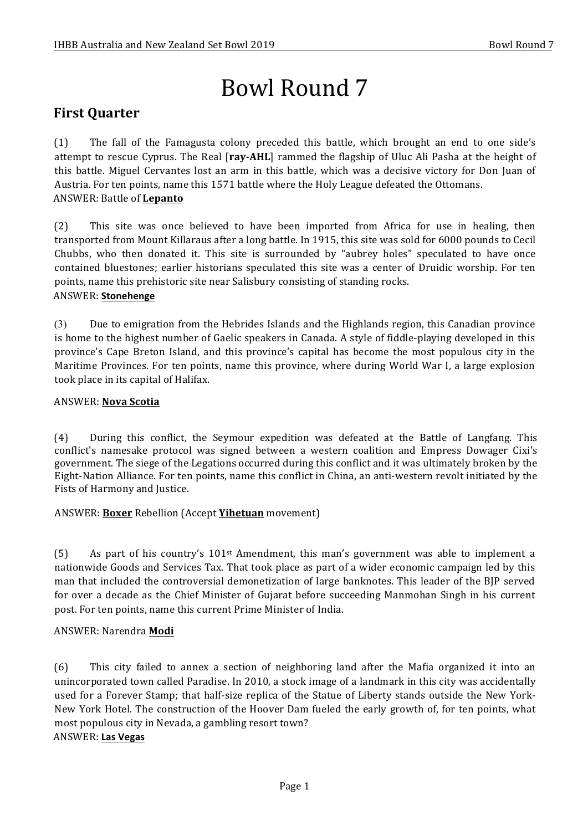# Bowl Round 7

# **First Quarter**

(1) The fall of the Famagusta colony preceded this battle, which brought an end to one side's attempt to rescue Cyprus. The Real [ray-AHL] rammed the flagship of Uluc Ali Pasha at the height of this battle. Miguel Cervantes lost an arm in this battle, which was a decisive victory for Don Juan of Austria. For ten points, name this 1571 battle where the Holy League defeated the Ottomans. ANSWER: Battle of **Lepanto** 

(2) This site was once believed to have been imported from Africa for use in healing, then transported from Mount Killaraus after a long battle. In 1915, this site was sold for 6000 pounds to Cecil Chubbs, who then donated it. This site is surrounded by "aubrey holes" speculated to have once contained bluestones; earlier historians speculated this site was a center of Druidic worship. For ten points, name this prehistoric site near Salisbury consisting of standing rocks. ANSWER: **Stonehenge**

(3) Due to emigration from the Hebrides Islands and the Highlands region, this Canadian province is home to the highest number of Gaelic speakers in Canada. A style of fiddle-playing developed in this province's Cape Breton Island, and this province's capital has become the most populous city in the Maritime Provinces. For ten points, name this province, where during World War I, a large explosion took place in its capital of Halifax.

#### ANSWER: **Nova Scotia**

(4) During this conflict, the Seymour expedition was defeated at the Battle of Langfang. This conflict's namesake protocol was signed between a western coalition and Empress Dowager Cixi's government. The siege of the Legations occurred during this conflict and it was ultimately broken by the Eight-Nation Alliance. For ten points, name this conflict in China, an anti-western revolt initiated by the Fists of Harmony and Justice.

ANSWER: **Boxer** Rebellion (Accept **Yihetuan** movement)

(5) As part of his country's  $101^{st}$  Amendment, this man's government was able to implement a nationwide Goods and Services Tax. That took place as part of a wider economic campaign led by this man that included the controversial demonetization of large banknotes. This leader of the BJP served for over a decade as the Chief Minister of Gujarat before succeeding Manmohan Singh in his current post. For ten points, name this current Prime Minister of India.

#### ANSWER: Narendra **Modi**

(6) This city failed to annex a section of neighboring land after the Mafia organized it into an unincorporated town called Paradise. In 2010, a stock image of a landmark in this city was accidentally used for a Forever Stamp; that half-size replica of the Statue of Liberty stands outside the New York-New York Hotel. The construction of the Hoover Dam fueled the early growth of, for ten points, what most populous city in Nevada, a gambling resort town? ANSWER: **Las Vegas**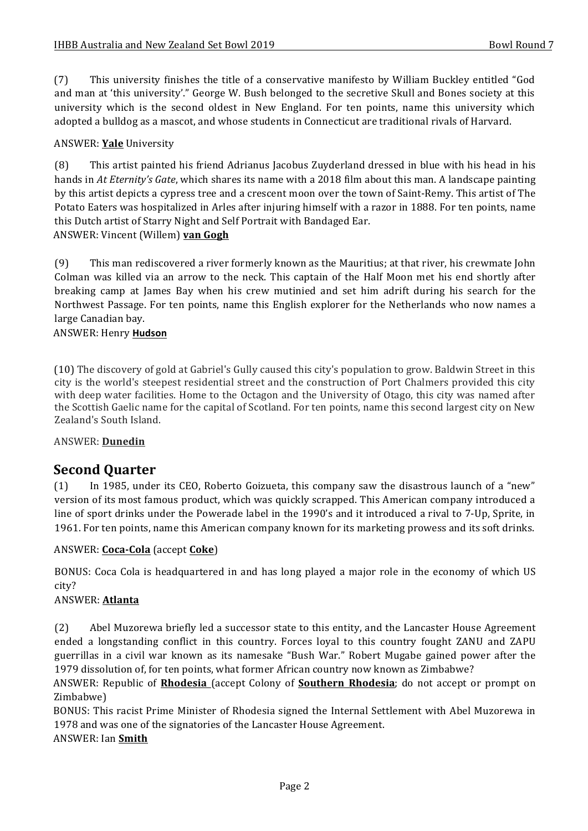(7) This university finishes the title of a conservative manifesto by William Buckley entitled "God and man at 'this university'." George W. Bush belonged to the secretive Skull and Bones society at this university which is the second oldest in New England. For ten points, name this university which adopted a bulldog as a mascot, and whose students in Connecticut are traditional rivals of Harvard.

#### ANSWER: **Yale** University

(8) This artist painted his friend Adrianus Jacobus Zuyderland dressed in blue with his head in his hands in At *Eternity's Gate*, which shares its name with a 2018 film about this man. A landscape painting by this artist depicts a cypress tree and a crescent moon over the town of Saint-Remy. This artist of The Potato Eaters was hospitalized in Arles after injuring himself with a razor in 1888. For ten points, name this Dutch artist of Starry Night and Self Portrait with Bandaged Ear. ANSWER: Vincent (Willem) van Gogh

(9) This man rediscovered a river formerly known as the Mauritius; at that river, his crewmate John Colman was killed via an arrow to the neck. This captain of the Half Moon met his end shortly after breaking camp at James Bay when his crew mutinied and set him adrift during his search for the Northwest Passage. For ten points, name this English explorer for the Netherlands who now names a large Canadian bay.

#### ANSWER: Henry **Hudson**

(10) The discovery of gold at Gabriel's Gully caused this city's population to grow. Baldwin Street in this city is the world's steepest residential street and the construction of Port Chalmers provided this city with deep water facilities. Home to the Octagon and the University of Otago, this city was named after the Scottish Gaelic name for the capital of Scotland. For ten points, name this second largest city on New Zealand's South Island.

#### ANSWER: **Dunedin**

### **Second Quarter**

(1) In 1985, under its CEO, Roberto Goizueta, this company saw the disastrous launch of a "new" version of its most famous product, which was quickly scrapped. This American company introduced a line of sport drinks under the Powerade label in the 1990's and it introduced a rival to 7-Up, Sprite, in 1961. For ten points, name this American company known for its marketing prowess and its soft drinks.

#### ANSWER: **Coca-Cola** (accept **Coke**)

BONUS: Coca Cola is headquartered in and has long played a major role in the economy of which US city?

#### ANSWER: **Atlanta**

(2) Abel Muzorewa briefly led a successor state to this entity, and the Lancaster House Agreement ended a longstanding conflict in this country. Forces loyal to this country fought ZANU and ZAPU guerrillas in a civil war known as its namesake "Bush War." Robert Mugabe gained power after the 1979 dissolution of, for ten points, what former African country now known as Zimbabwe?

ANSWER: Republic of **Rhodesia** (accept Colony of **Southern Rhodesia**; do not accept or prompt on Zimbabwe)

BONUS: This racist Prime Minister of Rhodesia signed the Internal Settlement with Abel Muzorewa in 1978 and was one of the signatories of the Lancaster House Agreement.

#### ANSWER: Ian **Smith**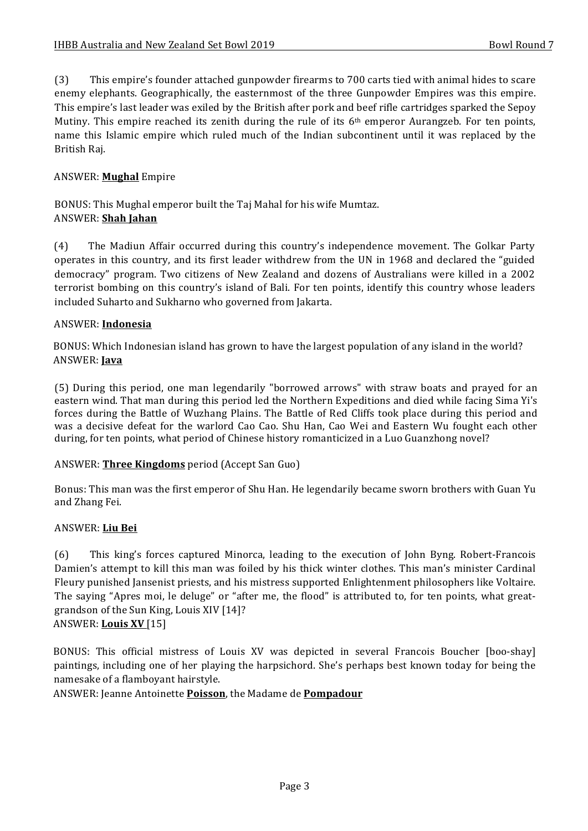(3) This empire's founder attached gunpowder firearms to 700 carts tied with animal hides to scare enemy elephants. Geographically, the easternmost of the three Gunpowder Empires was this empire. This empire's last leader was exiled by the British after pork and beef rifle cartridges sparked the Sepoy Mutiny. This empire reached its zenith during the rule of its  $6<sup>th</sup>$  emperor Aurangzeb. For ten points, name this Islamic empire which ruled much of the Indian subcontinent until it was replaced by the British Raj.

#### ANSWER: **Mughal** Empire

BONUS: This Mughal emperor built the Taj Mahal for his wife Mumtaz. ANSWER: **Shah Jahan**

(4) The Madiun Affair occurred during this country's independence movement. The Golkar Party operates in this country, and its first leader withdrew from the UN in 1968 and declared the "guided democracy" program. Two citizens of New Zealand and dozens of Australians were killed in a 2002 terrorist bombing on this country's island of Bali. For ten points, identify this country whose leaders included Suharto and Sukharno who governed from Jakarta.

#### ANSWER: **Indonesia**

BONUS: Which Indonesian island has grown to have the largest population of any island in the world? ANSWER: **Java**

(5) During this period, one man legendarily "borrowed arrows" with straw boats and prayed for an eastern wind. That man during this period led the Northern Expeditions and died while facing Sima Yi's forces during the Battle of Wuzhang Plains. The Battle of Red Cliffs took place during this period and was a decisive defeat for the warlord Cao Cao. Shu Han, Cao Wei and Eastern Wu fought each other during, for ten points, what period of Chinese history romanticized in a Luo Guanzhong novel?

#### ANSWER: **Three Kingdoms** period (Accept San Guo)

Bonus: This man was the first emperor of Shu Han. He legendarily became sworn brothers with Guan Yu and Zhang Fei.

#### ANSWER: **Liu Bei**

(6) This king's forces captured Minorca, leading to the execution of John Byng. Robert-Francois Damien's attempt to kill this man was foiled by his thick winter clothes. This man's minister Cardinal Fleury punished Jansenist priests, and his mistress supported Enlightenment philosophers like Voltaire. The saying "Apres moi, le deluge" or "after me, the flood" is attributed to, for ten points, what greatgrandson of the Sun King, Louis XIV [14]? ANSWER: Louis XV [15]

BONUS: This official mistress of Louis XV was depicted in several Francois Boucher [boo-shay] paintings, including one of her playing the harpsichord. She's perhaps best known today for being the namesake of a flamboyant hairstyle.

ANSWER: Jeanne Antoinette **Poisson**, the Madame de **Pompadour**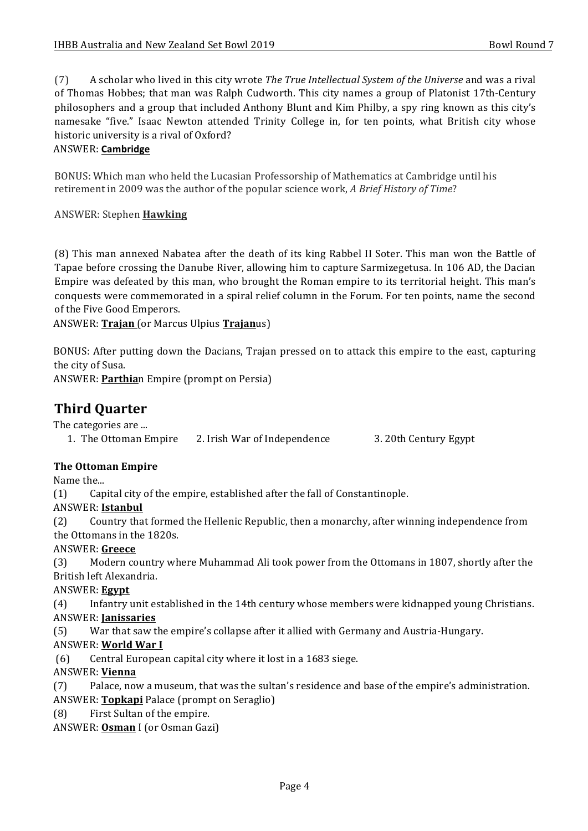(7) A scholar who lived in this city wrote *The True Intellectual System of the Universe* and was a rival of Thomas Hobbes; that man was Ralph Cudworth. This city names a group of Platonist 17th-Century philosophers and a group that included Anthony Blunt and Kim Philby, a spy ring known as this city's namesake "five." Isaac Newton attended Trinity College in, for ten points, what British city whose historic university is a rival of Oxford?

#### ANSWER: **Cambridge**

BONUS: Which man who held the Lucasian Professorship of Mathematics at Cambridge until his retirement in 2009 was the author of the popular science work, *A Brief History of Time*?

#### ANSWER: Stephen **Hawking**

(8) This man annexed Nabatea after the death of its king Rabbel II Soter. This man won the Battle of Tapae before crossing the Danube River, allowing him to capture Sarmizegetusa. In 106 AD, the Dacian Empire was defeated by this man, who brought the Roman empire to its territorial height. This man's conquests were commemorated in a spiral relief column in the Forum. For ten points, name the second of the Five Good Emperors.

ANSWER: **Trajan** (or Marcus Ulpius **Trajan**us)

BONUS: After putting down the Dacians, Trajan pressed on to attack this empire to the east, capturing the city of Susa.

ANSWER: **Parthia**n Empire (prompt on Persia)

# **Third Quarter**

The categories are ...

1. The Ottoman Empire 2. Irish War of Independence 3. 20th Century Egypt

#### **The Ottoman Empire**

Name the...

 $(1)$  Capital city of the empire, established after the fall of Constantinople.

#### ANSWER: **Istanbul**

(2) Country that formed the Hellenic Republic, then a monarchy, after winning independence from the Ottomans in the 1820s.

#### ANSWER: **Greece**

(3) Modern country where Muhammad Ali took power from the Ottomans in 1807, shortly after the British left Alexandria.

#### ANSWER: **Egypt**

(4) Infantry unit established in the 14th century whose members were kidnapped young Christians. ANSWER: **Janissaries**

(5) War that saw the empire's collapse after it allied with Germany and Austria-Hungary.

#### ANSWER: World War I

(6) Central European capital city where it lost in a 1683 siege.

#### ANSWER: **Vienna**

(7) Palace, now a museum, that was the sultan's residence and base of the empire's administration. ANSWER: **Topkapi** Palace (prompt on Seraglio)

(8) First Sultan of the empire.

ANSWER: **Osman** I (or Osman Gazi)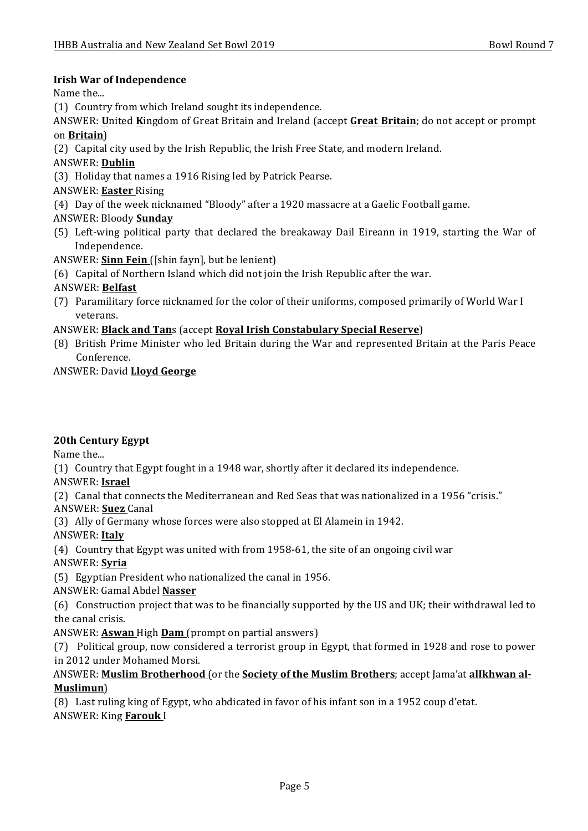#### **Irish War of Independence**

Name the...

- (1) Country from which Ireland sought its independence.
- ANSWER: United Kingdom of Great Britain and Ireland (accept Great Britain; do not accept or prompt on **Britain**)
- (2) Capital city used by the Irish Republic, the Irish Free State, and modern Ireland.

#### ANSWER: **Dublin**

(3) Holiday that names a 1916 Rising led by Patrick Pearse.

- ANSWER: **Easter** Rising
- (4) Day of the week nicknamed "Bloody" after a 1920 massacre at a Gaelic Football game.

#### ANSWER: Bloody **Sunday**

- (5) Left-wing political party that declared the breakaway Dail Eireann in 1919, starting the War of Independence.
- ANSWER: **Sinn Fein** ([shin fayn], but be lenient)
- (6) Capital of Northern Island which did not join the Irish Republic after the war.

#### ANSWER: **Belfast**

(7) Paramilitary force nicknamed for the color of their uniforms, composed primarily of World War I veterans.

#### ANSWER: **Black and Tan**s (accept **Royal Irish Constabulary Special Reserve**)

(8) British Prime Minister who led Britain during the War and represented Britain at the Paris Peace Conference.

#### ANSWER: David **Lloyd George**

#### **20th Century Egypt**

Name the...

(1) Country that Egypt fought in a 1948 war, shortly after it declared its independence.

#### ANSWER: **Israel**

(2) Canal that connects the Mediterranean and Red Seas that was nationalized in a 1956 "crisis." ANSWER: **Suez** Canal

(3) Ally of Germany whose forces were also stopped at El Alamein in 1942.

#### ANSWER: **Italy**

(4) Country that Egypt was united with from 1958-61, the site of an ongoing civil war

#### ANSWER: **Syria**

(5) Egyptian President who nationalized the canal in 1956.

#### ANSWER: Gamal Abdel **Nasser**

(6) Construction project that was to be financially supported by the US and UK; their withdrawal led to the canal crisis.

#### ANSWER: **Aswan** High **Dam** (prompt on partial answers)

(7) Political group, now considered a terrorist group in Egypt, that formed in 1928 and rose to power in 2012 under Mohamed Morsi.

#### ANSWER: **Muslim Brotherhood** (or the **Society of the Muslim Brothers**; accept Jama'at allkhwan al-**Muslimun**)

(8) Last ruling king of Egypt, who abdicated in favor of his infant son in a 1952 coup d'etat. **ANSWER: King Farouk I**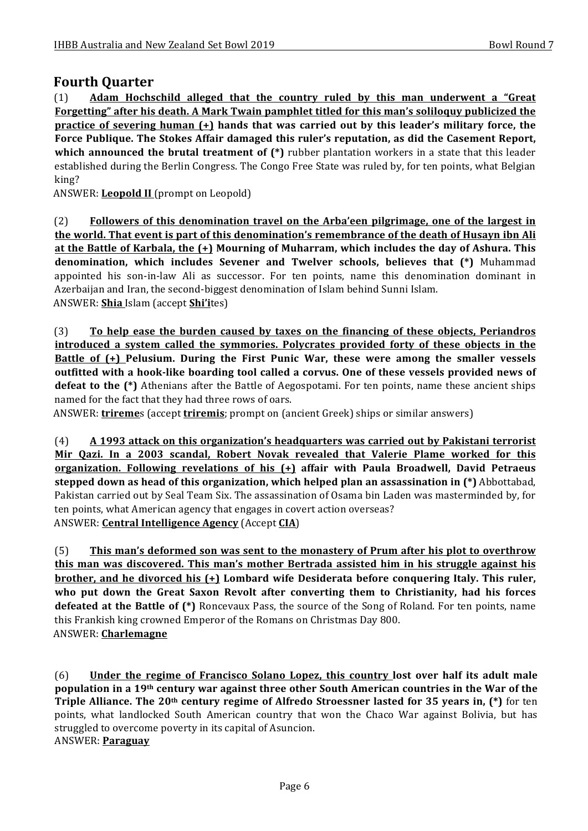## **Fourth Ouarter**

(1) Adam Hochschild alleged that the country ruled by this man underwent a "Great Forgetting" after his death. A Mark Twain pamphlet titled for this man's soliloquy publicized the **practice** of severing human  $(+)$  hands that was carried out by this leader's military force, the Force Publique. The Stokes Affair damaged this ruler's reputation, as did the Casement Report, **which announced the brutal treatment of (\*)** rubber plantation workers in a state that this leader established during the Berlin Congress. The Congo Free State was ruled by, for ten points, what Belgian king?

ANSWER: **Leopold II** (prompt on Leopold)

(2) **Followers of this denomination travel on the Arba'een pilgrimage, one of the largest in the world. That event is part of this denomination's remembrance of the death of Husayn ibn Ali** at the Battle of Karbala, the  $(+)$  Mourning of Muharram, which includes the day of Ashura. This **denomination, which includes Sevener and Twelver schools, believes that (\*)** Muhammad appointed his son-in-law Ali as successor. For ten points, name this denomination dominant in Azerbaijan and Iran, the second-biggest denomination of Islam behind Sunni Islam. ANSWER: **Shia** Islam (accept **Shi'i**tes)

(3) **To help ease the burden caused by taxes on the financing of these objects, Periandros introduced** a system called the symmories. Polycrates provided forty of these objects in the **Battle of (+)** Pelusium. During the First Punic War, these were among the smaller vessels outfitted with a hook-like boarding tool called a corvus. One of these vessels provided news of **defeat to the (\*)** Athenians after the Battle of Aegospotami. For ten points, name these ancient ships named for the fact that they had three rows of oars.

ANSWER: **trireme**s (accept **triremis**; prompt on (ancient Greek) ships or similar answers)

(4) A 1993 attack on this organization's headquarters was carried out by Pakistani terrorist Mir Qazi. In a 2003 scandal, Robert Novak revealed that Valerie Plame worked for this **<u>organization. Following revelations of his (+)</u> affair with Paula Broadwell, David Petraeus stepped down as head of this organization, which helped plan an assassination in (\*)** Abbottabad, Pakistan carried out by Seal Team Six. The assassination of Osama bin Laden was masterminded by, for ten points, what American agency that engages in covert action overseas? ANSWER: **Central Intelligence Agency** (Accept **CIA**)

(5) This man's deformed son was sent to the monastery of Prum after his plot to overthrow **this man was discovered. This man's mother Bertrada assisted him in his struggle against his brother, and he divorced his (+) Lombard wife Desiderata before conquering Italy. This ruler,** who put down the Great Saxon Revolt after converting them to Christianity, had his forces **defeated at the Battle of (\*)** Roncevaux Pass, the source of the Song of Roland. For ten points, name this Frankish king crowned Emperor of the Romans on Christmas Day 800. ANSWER: **Charlemagne**

(6) Under the regime of Francisco Solano Lopez, this country lost over half its adult male **population** in a 19<sup>th</sup> century war against three other South American countries in the War of the **Triple Alliance. The 20<sup>th</sup> century regime of Alfredo Stroessner lasted for 35 years in, (\*)** for ten points, what landlocked South American country that won the Chaco War against Bolivia, but has struggled to overcome poverty in its capital of Asuncion. ANSWER: **Paraguay**